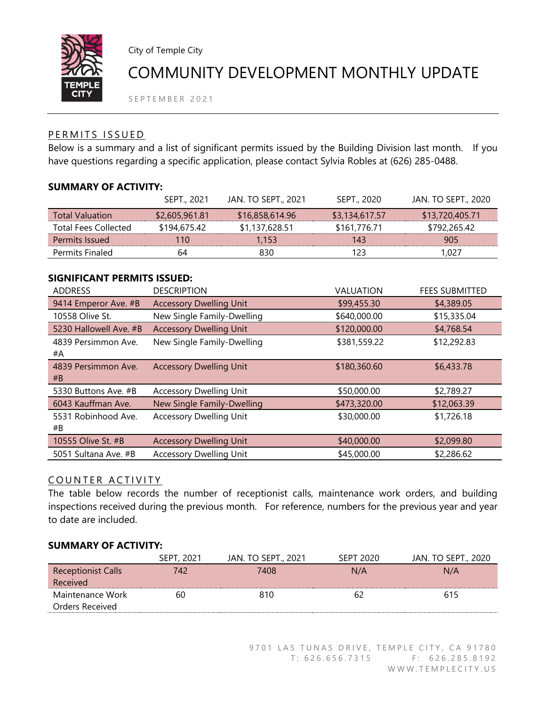

City of Temple City

# COMMUNITY DEVELOPMENT MONTHLY UPDATE

SEPTEMBER 2021

## PERMITS ISSUED

Below is a summary and a list of significant permits issued by the Building Division last month. If you have questions regarding a specific application, please contact Sylvia Robles at (626) 285-0488.

## **SUMMARY OF ACTIVITY:**

|                             | SEPT., 2021    | <b>JAN. TO SEPT., 2021</b> | SEPT., 2020    | JAN. TO SEPT., 2020 |
|-----------------------------|----------------|----------------------------|----------------|---------------------|
| <b>Total Valuation</b>      | \$2,605,961.81 | \$16,858,614.96            | \$3,134,617.57 | \$13,720,405.71     |
| <b>Total Fees Collected</b> | \$194,675.42   | \$1,137,628.51             | \$161,776.71   | \$792,265.42        |
| Permits Issued              | 110            | 1.153                      | 143            | 905                 |
| Permits Finaled             | 64             | 830                        | 123            | 1.027               |

#### **SIGNIFICANT PERMITS ISSUED:**

| <b>ADDRESS</b>            | <b>DESCRIPTION</b>             | VALUATION    | <b>FEES SUBMITTED</b> |
|---------------------------|--------------------------------|--------------|-----------------------|
| 9414 Emperor Ave. #B      | <b>Accessory Dwelling Unit</b> | \$99,455.30  | \$4,389.05            |
| 10558 Olive St.           | New Single Family-Dwelling     | \$640,000.00 | \$15,335.04           |
| 5230 Hallowell Ave. #B    | <b>Accessory Dwelling Unit</b> | \$120,000.00 | \$4,768.54            |
| 4839 Persimmon Ave.<br>#A | New Single Family-Dwelling     | \$381,559.22 | \$12,292.83           |
| 4839 Persimmon Ave.<br>#B | <b>Accessory Dwelling Unit</b> | \$180,360.60 | \$6,433.78            |
| 5330 Buttons Ave. #B      | <b>Accessory Dwelling Unit</b> | \$50,000.00  | \$2,789.27            |
| 6043 Kauffman Ave.        | New Single Family-Dwelling     | \$473,320.00 | \$12,063.39           |
| 5531 Robinhood Ave.<br>#B | <b>Accessory Dwelling Unit</b> | \$30,000.00  | \$1,726.18            |
| 10555 Olive St. #B        | <b>Accessory Dwelling Unit</b> | \$40,000.00  | \$2,099.80            |
| 5051 Sultana Ave. #B      | <b>Accessory Dwelling Unit</b> | \$45,000.00  | \$2,286.62            |

## COUNTER ACTIVITY

The table below records the number of receptionist calls, maintenance work orders, and building inspections received during the previous month. For reference, numbers for the previous year and year to date are included.

#### **SUMMARY OF ACTIVITY:**

|                           | SEPT, 2021 | <b>JAN. TO SEPT., 2021</b> | SEPT 2020 | JAN. TO SEPT., 2020 |
|---------------------------|------------|----------------------------|-----------|---------------------|
| <b>Receptionist Calls</b> | 742        | 7408                       | N/A       | N/A                 |
| Received                  |            |                            |           |                     |
| Maintenance Work          | 60         | 810                        |           | 615                 |
| Orders Received           |            |                            |           |                     |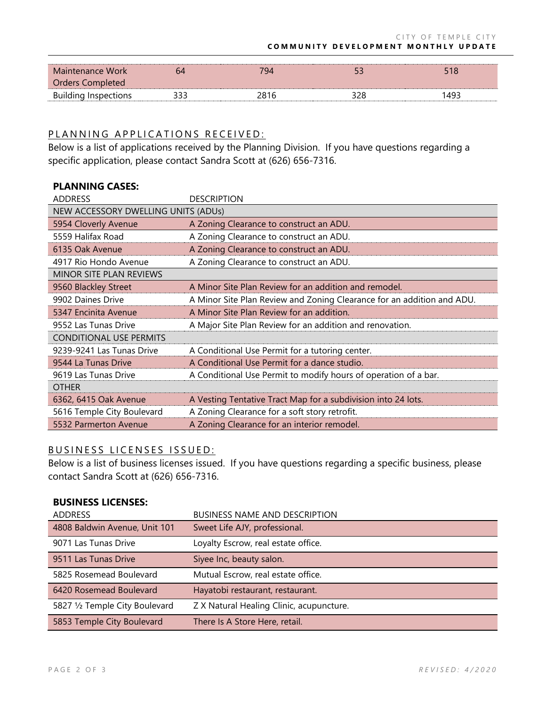| Maintenance Work            |     | 794  |     | 518  |
|-----------------------------|-----|------|-----|------|
| Orders Completed            |     |      |     |      |
| <b>Building Inspections</b> | ררר | 2816 | າາເ | 1493 |

### PLANNING APPLICATIONS RECEIVED:

Below is a list of applications received by the Planning Division. If you have questions regarding a specific application, please contact Sandra Scott at (626) 656-7316.

| <b>PLANNING CASES:</b>              |                                                                        |  |  |
|-------------------------------------|------------------------------------------------------------------------|--|--|
| <b>ADDRESS</b>                      | <b>DESCRIPTION</b>                                                     |  |  |
| NEW ACCESSORY DWELLING UNITS (ADUs) |                                                                        |  |  |
| 5954 Cloverly Avenue                | A Zoning Clearance to construct an ADU.                                |  |  |
| 5559 Halifax Road                   | A Zoning Clearance to construct an ADU.                                |  |  |
| 6135 Oak Avenue                     | A Zoning Clearance to construct an ADU.                                |  |  |
| 4917 Rio Hondo Avenue               | A Zoning Clearance to construct an ADU.                                |  |  |
| <b>MINOR SITE PLAN REVIEWS</b>      |                                                                        |  |  |
| 9560 Blackley Street                | A Minor Site Plan Review for an addition and remodel.                  |  |  |
| 9902 Daines Drive                   | A Minor Site Plan Review and Zoning Clearance for an addition and ADU. |  |  |
| 5347 Encinita Avenue                | A Minor Site Plan Review for an addition.                              |  |  |
| 9552 Las Tunas Drive                | A Major Site Plan Review for an addition and renovation.               |  |  |
| <b>CONDITIONAL USE PERMITS</b>      |                                                                        |  |  |
| 9239-9241 Las Tunas Drive           | A Conditional Use Permit for a tutoring center.                        |  |  |
| 9544 La Tunas Drive                 | A Conditional Use Permit for a dance studio.                           |  |  |
| 9619 Las Tunas Drive                | A Conditional Use Permit to modify hours of operation of a bar.        |  |  |
| <b>OTHER</b>                        |                                                                        |  |  |
| 6362, 6415 Oak Avenue               | A Vesting Tentative Tract Map for a subdivision into 24 lots.          |  |  |
| 5616 Temple City Boulevard          | A Zoning Clearance for a soft story retrofit.                          |  |  |
| 5532 Parmerton Avenue               | A Zoning Clearance for an interior remodel.                            |  |  |

#### BUSINESS LICENSES ISSUED:

Below is a list of business licenses issued. If you have questions regarding a specific business, please contact Sandra Scott at (626) 656-7316.

#### **BUSINESS LICENSES:**

| <b>ADDRESS</b>                 | <b>BUSINESS NAME AND DESCRIPTION</b>     |
|--------------------------------|------------------------------------------|
| 4808 Baldwin Avenue, Unit 101  | Sweet Life AJY, professional.            |
| 9071 Las Tunas Drive           | Loyalty Escrow, real estate office.      |
| 9511 Las Tunas Drive           | Siyee Inc, beauty salon.                 |
| 5825 Rosemead Boulevard        | Mutual Escrow, real estate office.       |
| 6420 Rosemead Boulevard        | Hayatobi restaurant, restaurant.         |
| 5827 1/2 Temple City Boulevard | Z X Natural Healing Clinic, acupuncture. |
| 5853 Temple City Boulevard     | There Is A Store Here, retail.           |